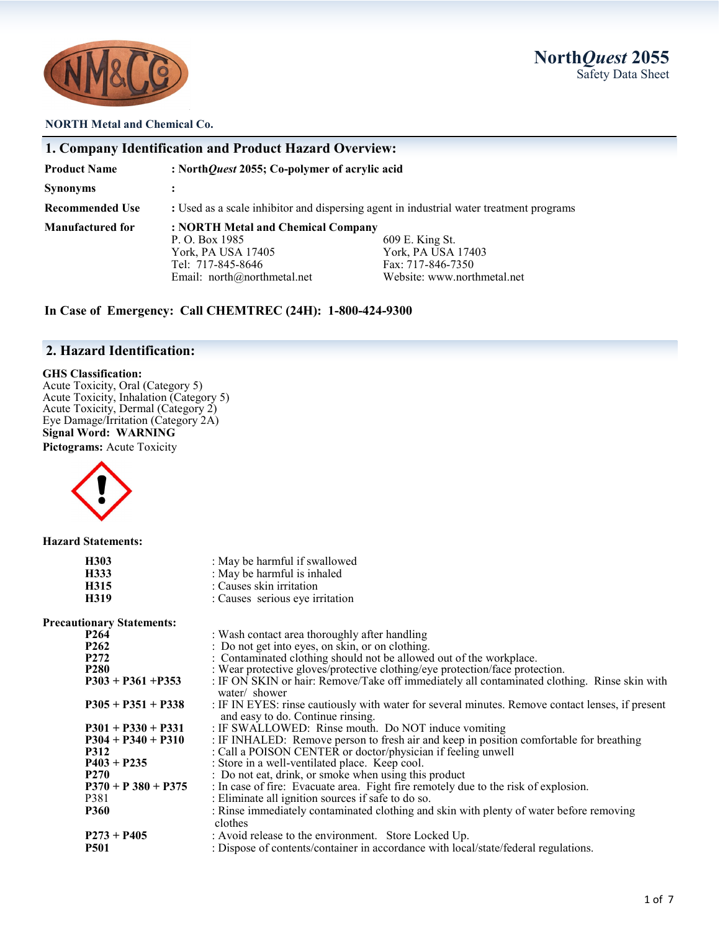

## **North***Quest* **2055** Safety Data Sheet

### **NORTH Metal and Chemical Co.**

|                         | 1. Company Identification and Product Hazard Overview:                                                                         |                                                                                           |
|-------------------------|--------------------------------------------------------------------------------------------------------------------------------|-------------------------------------------------------------------------------------------|
| <b>Product Name</b>     | : North Quest 2055; Co-polymer of acrylic acid                                                                                 |                                                                                           |
| <b>Synonyms</b>         |                                                                                                                                |                                                                                           |
| <b>Recommended Use</b>  | : Used as a scale inhibitor and dispersing agent in industrial water treatment programs                                        |                                                                                           |
| <b>Manufactured for</b> | : NORTH Metal and Chemical Company<br>P. O. Box 1985<br>York, PA USA 17405<br>Tel: 717-845-8646<br>Email: north@northmetal.net | 609 E. King St.<br>York, PA USA 17403<br>Fax: 717-846-7350<br>Website: www.northmetal.net |

**In Case of Emergency: Call CHEMTREC (24H): 1-800-424-9300**

### **2. Hazard Identification:**

### **GHS Classification:**

Acute Toxicity, Oral (Category 5) Acute Toxicity, Inhalation (Category 5) Acute Toxicity, Dermal (Category 2) Eye Damage/Irritation (Category 2A) **Signal Word: WARNING**

**Pictograms:** Acute Toxicity



**Hazard Statements:**

| H303<br>H333<br>H315<br>H319     | : May be harmful if swallowed<br>: May be harmful is inhaled<br>: Causes skin irritation<br>: Causes serious eye irritation           |
|----------------------------------|---------------------------------------------------------------------------------------------------------------------------------------|
| <b>Precautionary Statements:</b> |                                                                                                                                       |
| P <sub>264</sub>                 | : Wash contact area thoroughly after handling                                                                                         |
| <b>P262</b>                      | : Do not get into eyes, on skin, or on clothing.                                                                                      |
| <b>P272</b>                      | : Contaminated clothing should not be allowed out of the workplace.                                                                   |
| <b>P280</b>                      | : Wear protective gloves/protective clothing/eye protection/face protection.                                                          |
| $P303 + P361 + P353$             | : IF ON SKIN or hair: Remove/Take off immediately all contaminated clothing. Rinse skin with<br>water/ shower                         |
| $P305 + P351 + P338$             | : IF IN EYES: rinse cautiously with water for several minutes. Remove contact lenses, if present<br>and easy to do. Continue rinsing. |
| $P301 + P330 + P331$             | : IF SWALLOWED: Rinse mouth. Do NOT induce vomiting                                                                                   |
| $P304 + P340 + P310$             | : IF INHALED: Remove person to fresh air and keep in position comfortable for breathing                                               |
| <b>P312</b>                      | : Call a POISON CENTER or doctor/physician if feeling unwell                                                                          |
| $P403 + P235$                    | : Store in a well-ventilated place. Keep cool.                                                                                        |
| <b>P270</b>                      | : Do not eat, drink, or smoke when using this product                                                                                 |
| $P370 + P380 + P375$             | : In case of fire: Evacuate area. Fight fire remotely due to the risk of explosion.                                                   |
| P381                             | : Eliminate all ignition sources if safe to do so.                                                                                    |
| <b>P360</b>                      | : Rinse immediately contaminated clothing and skin with plenty of water before removing<br>clothes                                    |
| $P273 + P405$                    | : Avoid release to the environment. Store Locked Up.                                                                                  |
| <b>P501</b>                      | : Dispose of contents/container in accordance with local/state/federal regulations.                                                   |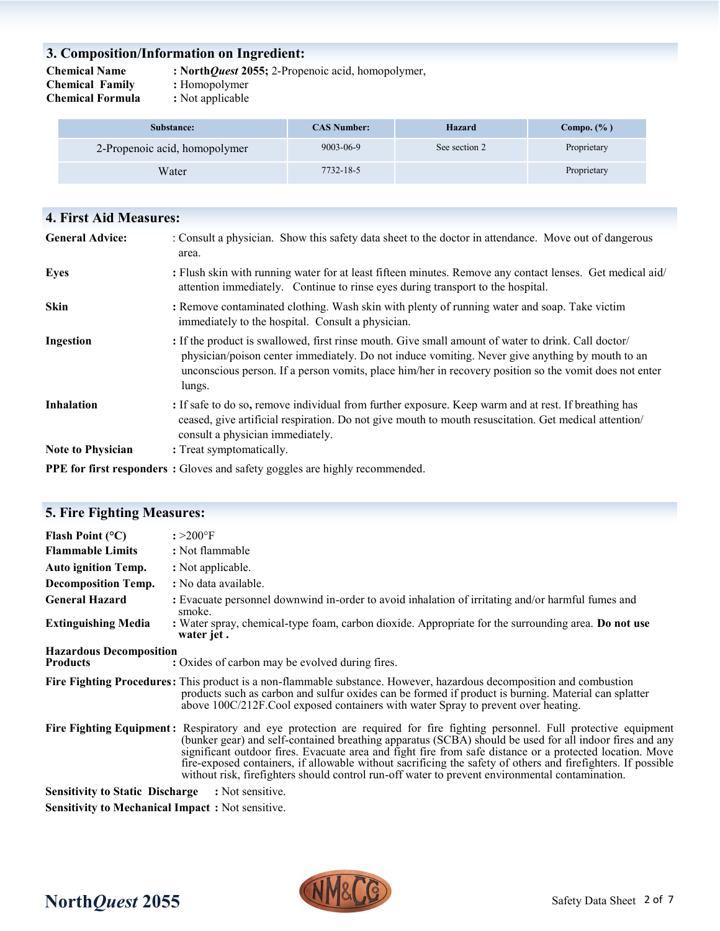## **3. Composition/Information on Ingredient:**

**Chemical Name : North***Quest* **2055;** 2-Propenoic acid, homopolymer,

**Chemical Family : Homopolymer<br>
<b>Chemical Formula** : Not applicable **Chemical Formula** 

**5. Fire Fighting Measures:** 

- 
- 

| Substance:                    | <b>CAS Number:</b> | Hazard        | Compo. $(\% )$ |
|-------------------------------|--------------------|---------------|----------------|
| 2-Propenoic acid, homopolymer | 9003-06-9          | See section 2 | Proprietary    |
| Water                         | 7732-18-5          |               | Proprietary    |

| <b>4. First Aid Measures:</b> |                                                                                                                                                                                                                                                                                                                            |
|-------------------------------|----------------------------------------------------------------------------------------------------------------------------------------------------------------------------------------------------------------------------------------------------------------------------------------------------------------------------|
| <b>General Advice:</b>        | : Consult a physician. Show this safety data sheet to the doctor in attendance. Move out of dangerous<br>area.                                                                                                                                                                                                             |
| <b>Eyes</b>                   | : Flush skin with running water for at least fifteen minutes. Remove any contact lenses. Get medical aid/<br>attention immediately. Continue to rinse eyes during transport to the hospital.                                                                                                                               |
| <b>Skin</b>                   | : Remove contaminated clothing. Wash skin with plenty of running water and soap. Take victim<br>immediately to the hospital. Consult a physician.                                                                                                                                                                          |
| Ingestion                     | : If the product is swallowed, first rinse mouth. Give small amount of water to drink. Call doctor/<br>physician/poison center immediately. Do not induce vomiting. Never give anything by mouth to an<br>unconscious person. If a person vomits, place him/her in recovery position so the vomit does not enter<br>lungs. |
| <b>Inhalation</b>             | : If safe to do so, remove individual from further exposure. Keep warm and at rest. If breathing has<br>ceased, give artificial respiration. Do not give mouth to mouth resuscitation. Get medical attention/<br>consult a physician immediately.                                                                          |
| <b>Note to Physician</b>      | : Treat symptomatically.                                                                                                                                                                                                                                                                                                   |
|                               | <b>DDE</b> $f_{1}$ , $f_{2}$ , $f_{3}$ , $f_{4}$ , $f_{5}$ , $f_{6}$ , $f_{7}$ , $f_{8}$ , $f_{9}$ , $f_{10}$ , $f_{11}$ , $f_{11}$ , $f_{11}$ , $f_{11}$ , $f_{11}$ , $f_{11}$ , $f_{11}$ , $f_{11}$ , $f_{11}$ , $f_{11}$ , $f_{11}$ , $f_{11}$ , $f_{11}$ , $f_{11}$ , $f_{11}$ ,                                       |

**PPE for first responders :** Gloves and safety goggles are highly recommended.

| 5. Fire Fighting Measures:                                                                                                                                                                                                                                                                     |                                                                                                                                                                                                                                                                                                                                                                                                                                                                                                                                                                       |
|------------------------------------------------------------------------------------------------------------------------------------------------------------------------------------------------------------------------------------------------------------------------------------------------|-----------------------------------------------------------------------------------------------------------------------------------------------------------------------------------------------------------------------------------------------------------------------------------------------------------------------------------------------------------------------------------------------------------------------------------------------------------------------------------------------------------------------------------------------------------------------|
| Flash Point $(°C)$                                                                                                                                                                                                                                                                             | $: >200$ °F                                                                                                                                                                                                                                                                                                                                                                                                                                                                                                                                                           |
| <b>Flammable Limits</b>                                                                                                                                                                                                                                                                        | : Not flammable                                                                                                                                                                                                                                                                                                                                                                                                                                                                                                                                                       |
| <b>Auto ignition Temp.</b>                                                                                                                                                                                                                                                                     | : Not applicable.                                                                                                                                                                                                                                                                                                                                                                                                                                                                                                                                                     |
| <b>Decomposition Temp.</b>                                                                                                                                                                                                                                                                     | : No data available.                                                                                                                                                                                                                                                                                                                                                                                                                                                                                                                                                  |
| <b>General Hazard</b>                                                                                                                                                                                                                                                                          | : Evacuate personnel downwind in-order to avoid inhalation of irritating and/or harmful fumes and<br>smoke.                                                                                                                                                                                                                                                                                                                                                                                                                                                           |
| <b>Extinguishing Media</b>                                                                                                                                                                                                                                                                     | : Water spray, chemical-type foam, carbon dioxide. Appropriate for the surrounding area. Do not use<br>water jet.                                                                                                                                                                                                                                                                                                                                                                                                                                                     |
| <b>Hazardous Decomposition</b><br><b>Products</b>                                                                                                                                                                                                                                              | : Oxides of carbon may be evolved during fires.                                                                                                                                                                                                                                                                                                                                                                                                                                                                                                                       |
|                                                                                                                                                                                                                                                                                                | Fire Fighting Procedures: This product is a non-flammable substance. However, hazardous decomposition and combustion<br>products such as carbon and sulfur oxides can be formed if product is burning. Material can splatter<br>above 100C/212F.Cool exposed containers with water Spray to prevent over heating.                                                                                                                                                                                                                                                     |
|                                                                                                                                                                                                                                                                                                | Fire Fighting Equipment: Respiratory and eye protection are required for fire fighting personnel. Full protective equipment<br>(bunker gear) and self-contained breathing apparatus (SCBA) should be used for all indoor fires and any<br>significant outdoor fires. Evacuate area and fight fire from safe distance or a protected location. Move<br>fire-exposed containers, if allowable without sacrificing the safety of others and firefighters. If possible<br>without risk, firefighters should control run-off water to prevent environmental contamination. |
| <b>Sensitivity to Static Discharge</b>                                                                                                                                                                                                                                                         | : Not sensitive.                                                                                                                                                                                                                                                                                                                                                                                                                                                                                                                                                      |
| $\mathbf{C}$ , and $\mathbf{C}$ are $\mathbf{A}$ . The set of $\mathbf{C}$ and $\mathbf{C}$ are $\mathbf{C}$ and $\mathbf{C}$ . The set of $\mathbf{C}$ and $\mathbf{C}$ are $\mathbf{C}$ and $\mathbf{C}$ are $\mathbf{C}$ and $\mathbf{C}$ are $\mathbf{C}$ and $\mathbf{C}$ are $\mathbf{C$ |                                                                                                                                                                                                                                                                                                                                                                                                                                                                                                                                                                       |

**Sensitivity to Mechanical Impact :** Not sensitive.

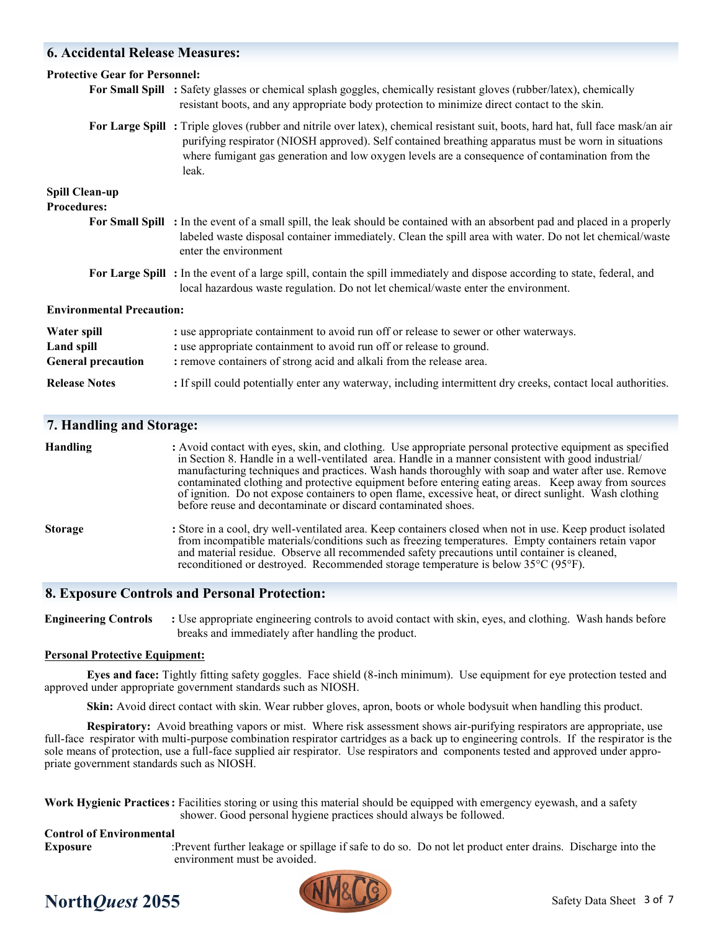## **6. Accidental Release Measures:**

| <b>Protective Gear for Personnel:</b>                         |                                                                                                                                                                                                                                                                                                                                                     |
|---------------------------------------------------------------|-----------------------------------------------------------------------------------------------------------------------------------------------------------------------------------------------------------------------------------------------------------------------------------------------------------------------------------------------------|
|                                                               | For Small Spill : Safety glasses or chemical splash goggles, chemically resistant gloves (rubber/latex), chemically<br>resistant boots, and any appropriate body protection to minimize direct contact to the skin.                                                                                                                                 |
|                                                               | For Large Spill: Triple gloves (rubber and nitrile over latex), chemical resistant suit, boots, hard hat, full face mask/an air<br>purifying respirator (NIOSH approved). Self contained breathing apparatus must be worn in situations<br>where fumigant gas generation and low oxygen levels are a consequence of contamination from the<br>leak. |
| <b>Spill Clean-up</b><br><b>Procedures:</b>                   |                                                                                                                                                                                                                                                                                                                                                     |
|                                                               | For Small Spill : In the event of a small spill, the leak should be contained with an absorbent pad and placed in a properly<br>labeled waste disposal container immediately. Clean the spill area with water. Do not let chemical/waste<br>enter the environment                                                                                   |
|                                                               | For Large Spill: In the event of a large spill, contain the spill immediately and dispose according to state, federal, and<br>local hazardous waste regulation. Do not let chemical/waste enter the environment.                                                                                                                                    |
| <b>Environmental Precaution:</b>                              |                                                                                                                                                                                                                                                                                                                                                     |
| Water spill<br><b>Land spill</b><br><b>General precaution</b> | : use appropriate containment to avoid run off or release to sewer or other waterways.<br>: use appropriate containment to avoid run off or release to ground.<br>: remove containers of strong acid and alkali from the release area.                                                                                                              |
| <b>Release Notes</b>                                          | : If spill could potentially enter any waterway, including intermittent dry creeks, contact local authorities.                                                                                                                                                                                                                                      |

### **7. Handling and Storage:**

| <b>Handling</b> | : Avoid contact with eyes, skin, and clothing. Use appropriate personal protective equipment as specified<br>in Section 8. Handle in a well-ventilated area. Handle in a manner consistent with good industrial/<br>manufacturing techniques and practices. Wash hands thoroughly with soap and water after use. Remove<br>contaminated clothing and protective equipment before entering eating areas. Keep away from sources<br>of ignition. Do not expose containers to open flame, excessive heat, or direct sunlight. Wash clothing<br>before reuse and decontaminate or discard contaminated shoes. |
|-----------------|-----------------------------------------------------------------------------------------------------------------------------------------------------------------------------------------------------------------------------------------------------------------------------------------------------------------------------------------------------------------------------------------------------------------------------------------------------------------------------------------------------------------------------------------------------------------------------------------------------------|
| <b>Storage</b>  | : Store in a cool, dry well-ventilated area. Keep containers closed when not in use. Keep product isolated<br>from incompatible materials/conditions such as freezing temperatures. Empty containers retain vapor<br>and material residue. Observe all recommended safety precautions until container is cleaned,<br>reconditioned or destroyed. Recommended storage temperature is below 35 <sup>o</sup> C (95 <sup>o</sup> F).                                                                                                                                                                          |
|                 |                                                                                                                                                                                                                                                                                                                                                                                                                                                                                                                                                                                                           |

### **8. Exposure Controls and Personal Protection:**

**Engineering Controls** : Use appropriate engineering controls to avoid contact with skin, eyes, and clothing. Wash hands before breaks and immediately after handling the product.

#### **Personal Protective Equipment:**

**Eyes and face:** Tightly fitting safety goggles. Face shield (8-inch minimum). Use equipment for eye protection tested and approved under appropriate government standards such as NIOSH.

**Skin:** Avoid direct contact with skin. Wear rubber gloves, apron, boots or whole bodysuit when handling this product.

**Respiratory:** Avoid breathing vapors or mist. Where risk assessment shows air-purifying respirators are appropriate, use full-face respirator with multi-purpose combination respirator cartridges as a back up to engineering controls. If the respirator is the sole means of protection, use a full-face supplied air respirator. Use respirators and components tested and approved under appropriate government standards such as NIOSH.

**Work Hygienic Practices:** Facilities storing or using this material should be equipped with emergency eyewash, and a safety shower. Good personal hygiene practices should always be followed.

### **Control of Environmental**

**Exposure** :Prevent further leakage or spillage if safe to do so. Do not let product enter drains. Discharge into the environment must be avoided.



## **North***Quest* 2055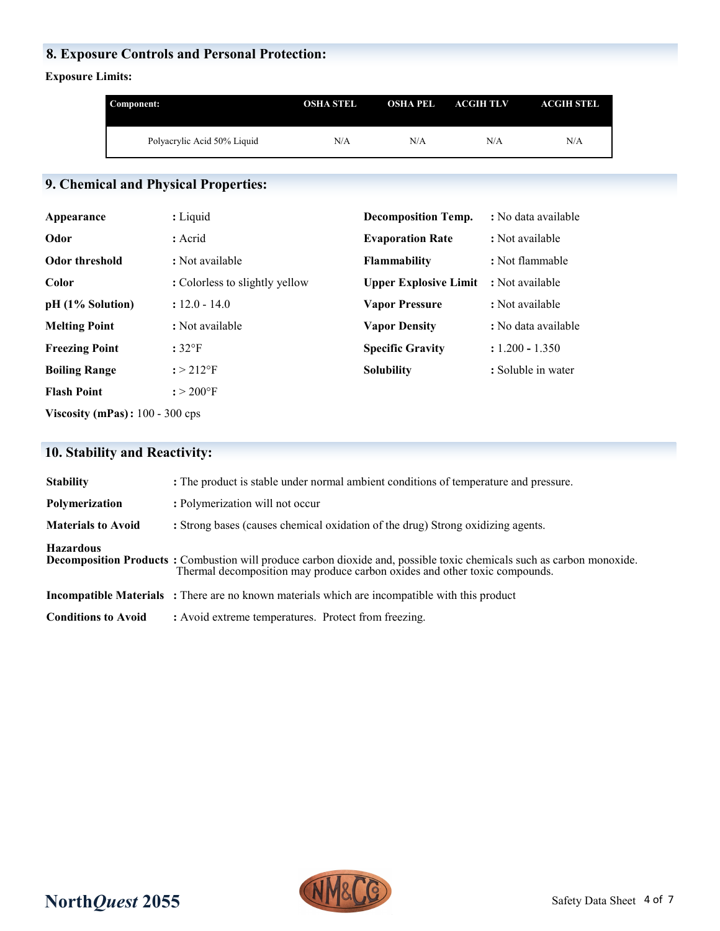## **8. Exposure Controls and Personal Protection:**

## **Exposure Limits:**

| Component:                  | <b>OSHA STEL</b> | <b>OSHA PEL</b> | ACGIH TLV | <b>ACGIH STEL</b> |
|-----------------------------|------------------|-----------------|-----------|-------------------|
| Polyacrylic Acid 50% Liquid | N/A              | N/A             | N/A       | N/A               |

# **9. Chemical and Physical Properties:**

| Appearance                        | : Liquid                       | <b>Decomposition Temp.</b>   | : No data available |
|-----------------------------------|--------------------------------|------------------------------|---------------------|
| Odor                              | : Acrid                        | <b>Evaporation Rate</b>      | : Not available     |
| <b>Odor threshold</b>             | : Not available                | <b>Flammability</b>          | : Not flammable     |
| <b>Color</b>                      | : Colorless to slightly yellow | <b>Upper Explosive Limit</b> | : Not available     |
| pH (1% Solution)                  | $: 12.0 - 14.0$                | <b>Vapor Pressure</b>        | : Not available     |
| <b>Melting Point</b>              | : Not available                | <b>Vapor Density</b>         | : No data available |
| <b>Freezing Point</b>             | $:32^{\circ}F$                 | <b>Specific Gravity</b>      | $: 1.200 - 1.350$   |
| <b>Boiling Range</b>              | $: > 212$ °F                   | <b>Solubility</b>            | : Soluble in water  |
| <b>Flash Point</b>                | $: 200^{\circ}$ F              |                              |                     |
| Viscosity (mPas): $100 - 300$ cps |                                |                              |                     |

## **10. Stability and Reactivity:**

| : The product is stable under normal ambient conditions of temperature and pressure.                                                                                                                |
|-----------------------------------------------------------------------------------------------------------------------------------------------------------------------------------------------------|
| : Polymerization will not occur                                                                                                                                                                     |
| : Strong bases (causes chemical oxidation of the drug) Strong oxidizing agents.                                                                                                                     |
| Decomposition Products: Combustion will produce carbon dioxide and, possible toxic chemicals such as carbon monoxide.<br>Thermal decomposition may produce carbon oxides and other toxic compounds. |
| <b>Incompatible Materials</b> : There are no known materials which are incompatible with this product                                                                                               |
| : Avoid extreme temperatures. Protect from freezing.                                                                                                                                                |
|                                                                                                                                                                                                     |

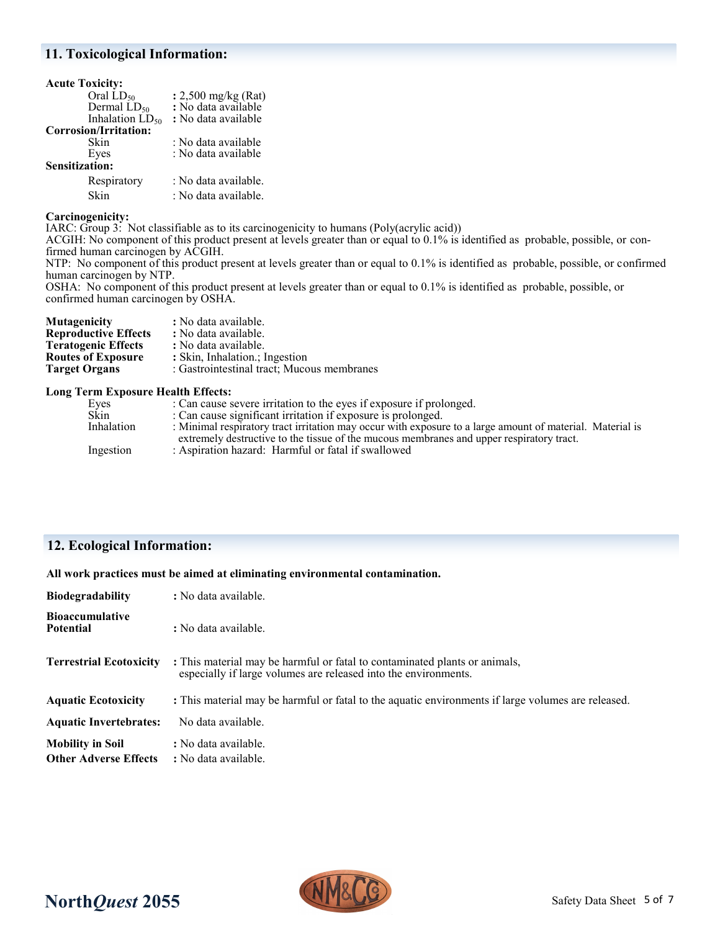### **11. Toxicological Information:**

| <b>Acute Toxicity:</b> |                               |
|------------------------|-------------------------------|
| Oral $LD_{50}$         | : $2,500 \text{ mg/kg}$ (Rat) |
| Dermal $LD_{50}$       | : No data available           |
| Inhalation $LD_{50}$   | : No data available           |
| Corrosion/Irritation:  |                               |
| Skin                   | : No data available           |
| Eyes                   | : No data available           |
| <b>Sensitization:</b>  |                               |
| Respiratory            | : No data available.          |
| Skin                   | : No data available.          |

### **Carcinogenicity:**

IARC: Group 3: Not classifiable as to its carcinogenicity to humans (Poly(acrylic acid))

ACGIH: No component of this product present at levels greater than or equal to 0.1% is identified as probable, possible, or confirmed human carcinogen by ACGIH.

NTP: No component of this product present at levels greater than or equal to 0.1% is identified as probable, possible, or confirmed human carcinogen by NTP.

OSHA: No component of this product present at levels greater than or equal to 0.1% is identified as probable, possible, or confirmed human carcinogen by OSHA.

| <b>Mutagenicity</b>         | : No data available.                       |
|-----------------------------|--------------------------------------------|
| <b>Reproductive Effects</b> | : No data available.                       |
| <b>Teratogenic Effects</b>  | : No data available.                       |
| <b>Routes of Exposure</b>   | : Skin, Inhalation.; Ingestion             |
| <b>Target Organs</b>        | : Gastrointestinal tract; Mucous membranes |

#### **Long Term Exposure Health Effects:**

| Eyes       | : Can cause severe irritation to the eyes if exposure if prolonged.                                       |
|------------|-----------------------------------------------------------------------------------------------------------|
| Skin       | : Can cause significant irritation if exposure is prolonged.                                              |
| Inhalation | : Minimal respiratory tract irritation may occur with exposure to a large amount of material. Material is |
|            | extremely destructive to the tissue of the mucous membranes and upper respiratory tract.                  |
| Ingestion  | : Aspiration hazard: Harmful or fatal if swallowed                                                        |
|            |                                                                                                           |

## **12. Ecological Information:**

**All work practices must be aimed at eliminating environmental contamination.** 

| <b>Biodegradability</b>                                 | : No data available.                                                                                                                          |
|---------------------------------------------------------|-----------------------------------------------------------------------------------------------------------------------------------------------|
| <b>Bioaccumulative</b><br><b>Potential</b>              | : No data available.                                                                                                                          |
| <b>Terrestrial Ecotoxicity</b>                          | : This material may be harmful or fatal to contaminated plants or animals,<br>especially if large volumes are released into the environments. |
| <b>Aquatic Ecotoxicity</b>                              | : This material may be harmful or fatal to the aquatic environments if large volumes are released.                                            |
| <b>Aquatic Invertebrates:</b>                           | No data available.                                                                                                                            |
| <b>Mobility in Soil</b><br><b>Other Adverse Effects</b> | : No data available.<br>: No data available.                                                                                                  |

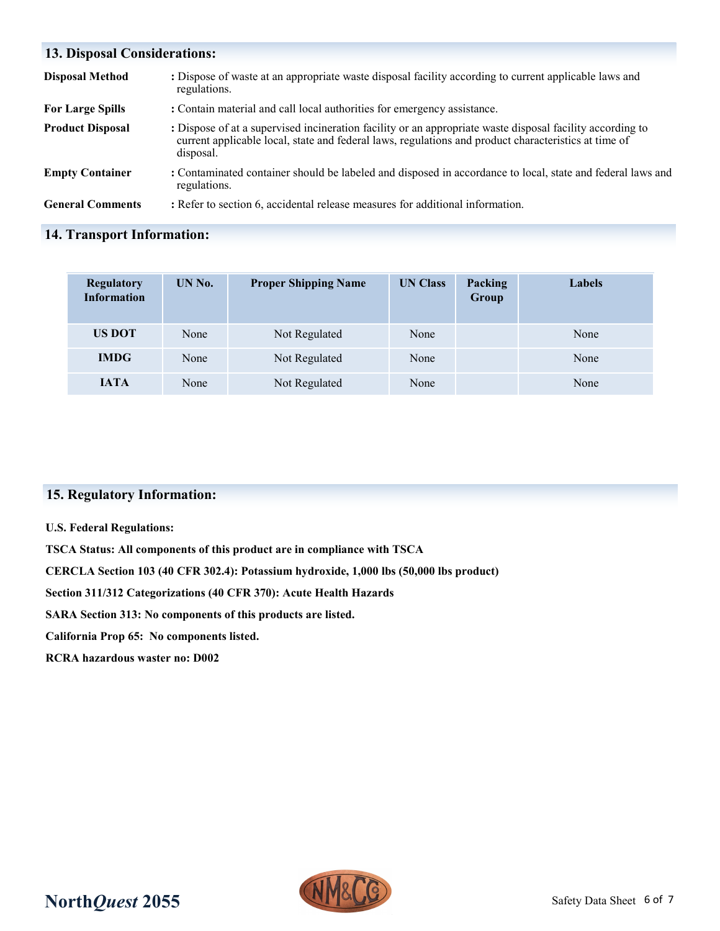| <b>13. Disposal Considerations:</b> |                                                                                                                                                                                                                                |  |  |  |
|-------------------------------------|--------------------------------------------------------------------------------------------------------------------------------------------------------------------------------------------------------------------------------|--|--|--|
| <b>Disposal Method</b>              | : Dispose of waste at an appropriate waste disposal facility according to current applicable laws and<br>regulations.                                                                                                          |  |  |  |
| <b>For Large Spills</b>             | : Contain material and call local authorities for emergency assistance.                                                                                                                                                        |  |  |  |
| <b>Product Disposal</b>             | : Dispose of at a supervised incineration facility or an appropriate waste disposal facility according to<br>current applicable local, state and federal laws, regulations and product characteristics at time of<br>disposal. |  |  |  |
| <b>Empty Container</b>              | : Contaminated container should be labeled and disposed in accordance to local, state and federal laws and<br>regulations.                                                                                                     |  |  |  |
| <b>General Comments</b>             | : Refer to section 6, accidental release measures for additional information.                                                                                                                                                  |  |  |  |

## **14. Transport Information:**

| <b>Regulatory</b><br><b>Information</b> | UN No. | <b>Proper Shipping Name</b> | <b>UN Class</b> | Packing<br>Group | Labels |
|-----------------------------------------|--------|-----------------------------|-----------------|------------------|--------|
| <b>US DOT</b>                           | None   | Not Regulated               | None            |                  | None   |
| <b>IMDG</b>                             | None   | Not Regulated               | None            |                  | None   |
| <b>IATA</b>                             | None   | Not Regulated               | None            |                  | None   |

## **15. Regulatory Information:**

### **U.S. Federal Regulations:**

**TSCA Status: All components of this product are in compliance with TSCA**

**CERCLA Section 103 (40 CFR 302.4): Potassium hydroxide, 1,000 lbs (50,000 lbs product)**

**Section 311/312 Categorizations (40 CFR 370): Acute Health Hazards**

**SARA Section 313: No components of this products are listed.** 

**California Prop 65: No components listed.**

**RCRA hazardous waster no: D002**